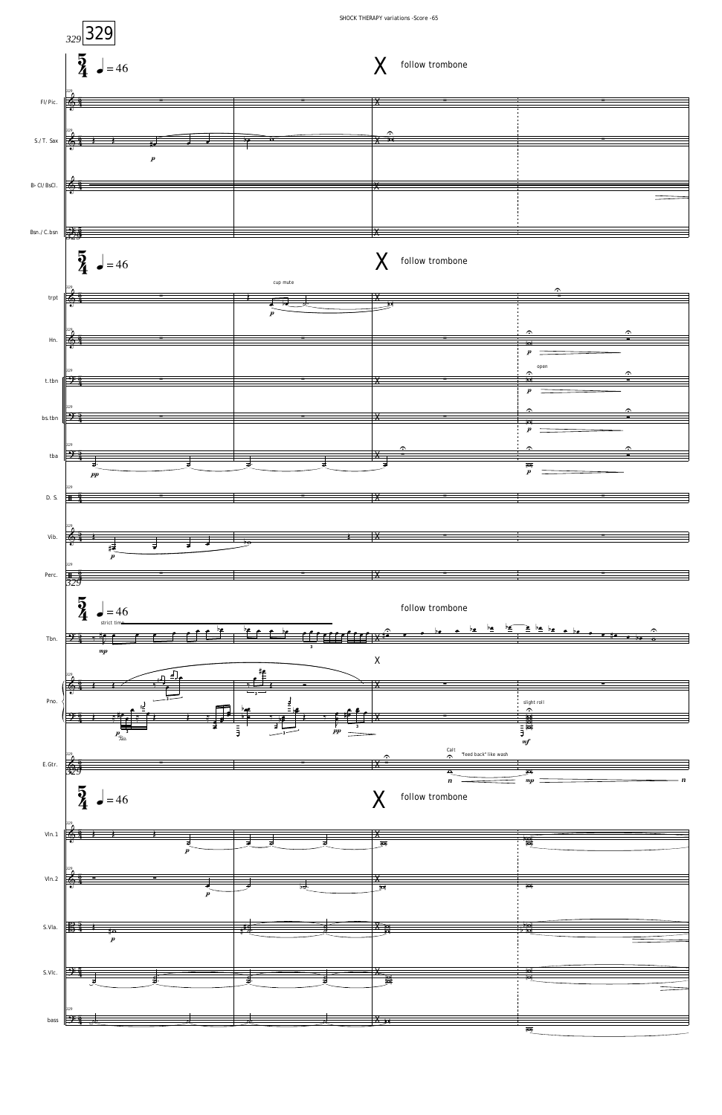